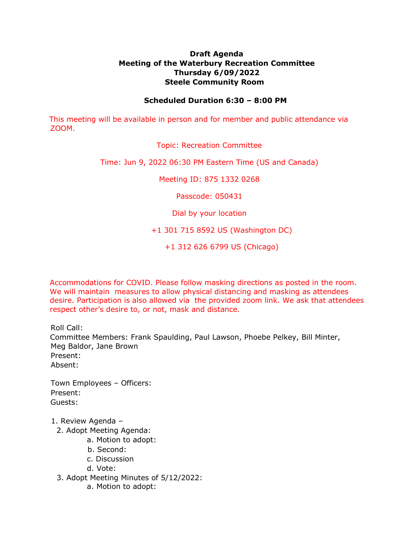## **Draft Agenda Meeting of the Waterbury Recreation Committee Thursday 6/09/2022 Steele Community Room**

## **Scheduled Duration 6:30 – 8:00 PM**

This meeting will be available in person and for member and public attendance via ZOOM.

Topic: Recreation Committee

Time: Jun 9, 2022 06:30 PM Eastern Time (US and Canada)

Meeting ID: 875 1332 0268

Passcode: 050431

Dial by your location

+1 301 715 8592 US (Washington DC)

+1 312 626 6799 US (Chicago)

Accommodations for COVID. Please follow masking directions as posted in the room. We will maintain measures to allow physical distancing and masking as attendees desire. Participation is also allowed via the provided zoom link. We ask that attendees respect other's desire to, or not, mask and distance.

Roll Call:

Committee Members: Frank Spaulding, Paul Lawson, Phoebe Pelkey, Bill Minter, Meg Baldor, Jane Brown Present: Absent:

Town Employees – Officers: Present: Guests:

- 1. Review Agenda
	- 2. Adopt Meeting Agenda:
		- a. Motion to adopt:
		- b. Second:
		- c. Discussion
		- d. Vote:
	- 3. Adopt Meeting Minutes of 5/12/2022:
		- a. Motion to adopt: